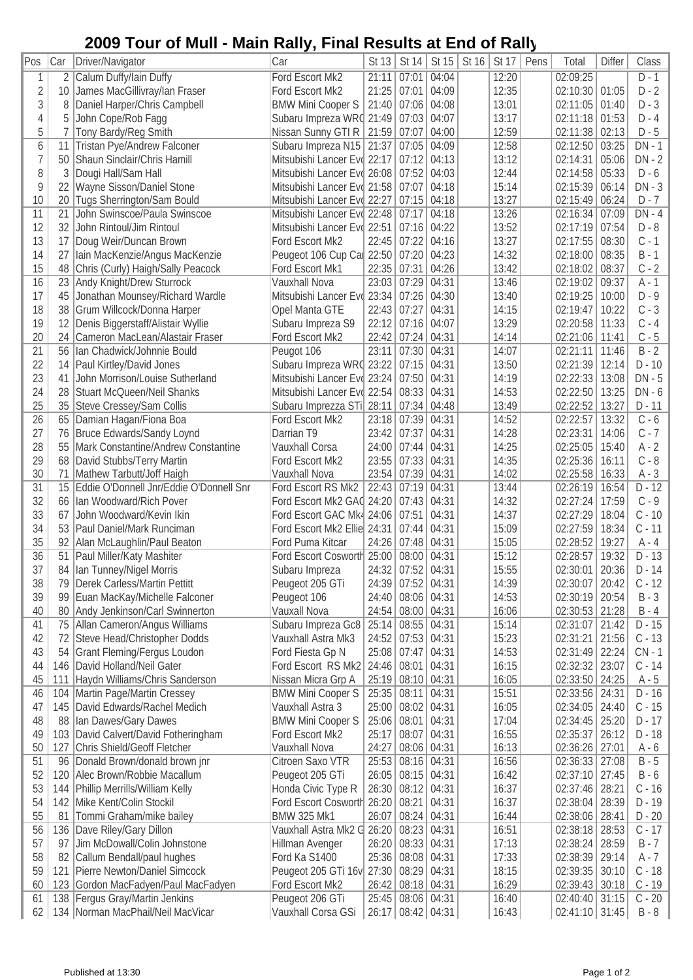## **2009 Tour of Mull - Main Rally, Final Results at End of Rally**

| Pos            | Car | Driver/Navigator                        | Car                                    |       |                   | St 13   St 14   St 15 | St 16 | St 17          | Pens | Total            | <b>Differ</b> | Class    |
|----------------|-----|-----------------------------------------|----------------------------------------|-------|-------------------|-----------------------|-------|----------------|------|------------------|---------------|----------|
| 1              | 2   | Calum Duffy/Iain Duffy                  | Ford Escort Mk2                        | 21:11 | 07:01             | 04:04                 |       | 12:20          |      | 02:09:25         |               | $D-1$    |
| $\overline{2}$ | 10  | James MacGillivray/lan Fraser           | Ford Escort Mk2                        | 21:25 | 07:01             | 04:09                 |       | 12:35          |      | 02:10:30         | 01:05         | $D - 2$  |
| 3              | 8   | Daniel Harper/Chris Campbell            | <b>BMW Mini Cooper S</b>               | 21:40 | 07:06             | 04:08                 |       | 13:01          |      | 02:11:05         | 01:40         | $D - 3$  |
| $\sqrt{4}$     | 5   | John Cope/Rob Fagg                      | Subaru Impreza WRC 21:49               |       | 07:03             | 04:07                 |       | 13:17          |      | 02:11:18         | 01:53         | $D - 4$  |
| 5              |     | Tony Bardy/Reg Smith                    | Nissan Sunny GTI R 21:59               |       | 07:07             | 04:00                 |       | 12:59          |      | 02:11:38         | 02:13         | $D - 5$  |
| 6              | 11  | Tristan Pye/Andrew Falconer             | Subaru Impreza N15   21:37             |       | 07:05             | 04:09                 |       | 12:58          |      | 02:12:50         | 03:25         | DN - 1   |
| $\overline{7}$ | 50  | Shaun Sinclair/Chris Hamill             | Mitsubishi Lancer Evd 22:17            |       | 07:12             | 04:13                 |       | 13:12          |      | 02:14:31         | 05:06         | $DN - 2$ |
| 8              | 3   | Dougi Hall/Sam Hall                     | Mitsubishi Lancer Evd 26:08            |       | 07:52             | 04:03                 |       | 12:44          |      | 02:14:58         | 05:33         | $D - 6$  |
| 9              | 22  | Wayne Sisson/Daniel Stone               | Mitsubishi Lancer Evd 21:58            |       | 07:07             | 04:18                 |       | 15:14          |      | 02:15:39         | 06:14         | $DN - 3$ |
| 10             | 20  | Tugs Sherrington/Sam Bould              | Mitsubishi Lancer Evo 22:27            |       | 07:15             | 04:18                 |       | 13:27          |      | 02:15:49         | 06:24         | $D - 7$  |
| 11             | 21  | John Swinscoe/Paula Swinscoe            | Mitsubishi Lancer Evd 22:48            |       | 07:17             | 04:18                 |       | 13:26          |      | 02:16:34         | 07:09         | $DN - 4$ |
| 12             | 32  | John Rintoul/Jim Rintoul                | Mitsubishi Lancer Evd 22:51            |       | 07:16             | 04:22                 |       | 13:52          |      | 02:17:19         | 07:54         | $D - 8$  |
| 13             | 17  | Doug Weir/Duncan Brown                  | Ford Escort Mk2                        | 22:45 | 07:22             | 04:16                 |       | 13:27          |      | 02:17:55         | 08:30         | $C - 1$  |
| 14             | 27  | Iain MacKenzie/Angus MacKenzie          | Peugeot 106 Cup Car 22:50              |       | 07:20             | 04:23                 |       | 14:32          |      | 02:18:00         | 08:35         | $B - 1$  |
| 15             | 48  | Chris (Curly) Haigh/Sally Peacock       | Ford Escort Mk1                        | 22:35 | 07:31             | 04:26                 |       | 13:42          |      | 02:18:02         | 08:37         | $C - 2$  |
| 16             | 23  | Andy Knight/Drew Sturrock               | Vauxhall Nova                          | 23:03 | 07:29             | 04:31                 |       | 13:46          |      | 02:19:02         | 09:37         | $A - 1$  |
| 17             | 45  | Jonathan Mounsey/Richard Wardle         | Mitsubishi Lancer Evo 23:34            |       | 07:26             | 04:30                 |       | 13:40          |      | 02:19:25         | 10:00         | $D - 9$  |
| 18             | 38  | Grum Willcock/Donna Harper              | Opel Manta GTE                         | 22:43 | 07:27             | 04:31                 |       | 14:15          |      | 02:19:47         | 10:22         | $C - 3$  |
|                | 12  |                                         |                                        | 22:12 |                   | 04:07                 |       | 13:29          |      |                  | 11:33         |          |
| 19             |     | Denis Biggerstaff/Alistair Wyllie       | Subaru Impreza S9                      |       | 07:16             |                       |       |                |      | 02:20:58         |               | $C - 4$  |
| 20             | 24  | Cameron MacLean/Alastair Fraser         | Ford Escort Mk2                        | 22:42 | $07:24$ 04:31     |                       |       | 14:14          |      | 02:21:06         | 11:41         | $C - 5$  |
| 21             | 56  | Ian Chadwick/Johnnie Bould              | Peugot 106                             | 23:11 | 07:30 04:31       |                       |       | 14:07          |      | 02:21:11         | 11:46         | $B - 2$  |
| 22             | 14  | Paul Kirtley/David Jones                | Subaru Impreza WRC 23:22               |       | 07:15             | 04:31                 |       | 13:50          |      | 02:21:39         | 12:14         | $D - 10$ |
| 23             | 41  | John Morrison/Louise Sutherland         | Mitsubishi Lancer Evd 23:24            |       | 07:50 04:31       |                       |       | 14:19          |      | 02:22:33         | 13:08         | $DN - 5$ |
| 24             | 28  | Stuart McQueen/Neil Shanks              | Mitsubishi Lancer Evd 22:54            |       | 08:33             | 04:31                 |       | 14:53          |      | 02:22:50         | 13:25         | $DN - 6$ |
| 25             | 35  | Steve Cressey/Sam Collis                | Subaru Imprezza STi 28:11              |       | 07:34             | 04:48                 |       | 13:49          |      | 02:22:52         | 13:27         | $D - 11$ |
| 26             | 65  | Damian Hagan/Fiona Boa                  | Ford Escort Mk2                        | 23:18 | 07:39             | 04:31                 |       | 14:52          |      | 02:22:57         | 13:32         | $C - 6$  |
| 27             | 76  | <b>Bruce Edwards/Sandy Loynd</b>        | Darrian T9                             | 23:42 | 07:37             | 04:31                 |       | 14:28          |      | 02:23:31         | 14:06         | $C - 7$  |
| 28             | 55  | Mark Constantine/Andrew Constantine     | Vauxhall Corsa                         | 24:00 | 07:44             | 04:31                 |       | 14:25          |      | 02:25:05         | 15:40         | $A - 2$  |
| 29             | 68  | David Stubbs/Terry Martin               | Ford Escort Mk2                        | 23:55 | 07:33             | 04:31                 |       | 14:35          |      | 02:25:36         | 16:11         | $C - 8$  |
| 30             | 71  | Mathew Tarbutt/Joff Haigh               | Vauxhall Nova                          | 23:54 | 07:39             | 04:31                 |       | 14:02          |      | 02:25:58         | 16:33         | A - 3    |
| 31             | 15  | Eddie O'Donnell Jnr/Eddie O'Donnell Snr | Ford Escort RS Mk2                     | 22:43 | 07:19             | 04:31                 |       | 13:44          |      | 02:26:19         | 16:54         | $D - 12$ |
| 32             | 66  | Ian Woodward/Rich Pover                 | Ford Escort Mk2 GAC 24:20              |       | 07:43             | 04:31                 |       | 14:32          |      | 02:27:24         | 17:59         | $C - 9$  |
| 33             | 67  | John Woodward/Kevin Ikin                | Ford Escort GAC Mk4 24:06              |       | 07:51             | 04:31                 |       | 14:37          |      | 02:27:29         | 18:04         | $C - 10$ |
| 34             | 53  | Paul Daniel/Mark Runciman               | Ford Escort Mk2 Ellie 24:31            |       | 07:44             | 04:31                 |       | 15:09          |      | 02:27:59         | 18:34         | $C - 11$ |
| 35             | 92  | Alan McLaughlin/Paul Beaton             | Ford Puma Kitcar                       | 24:26 | $07:48$ 04:31     |                       |       | 15:05          |      | 02:28:52         | 19:27         | $A - 4$  |
| 36             | 51  | Paul Miller/Katy Mashiter               | Ford Escort Cosworth 25:00 08:00 04:31 |       |                   |                       |       | 15:12          |      | 02:28:57         | 19:32         | $D - 13$ |
| 37             |     | 84   Ian Tunney/Nigel Morris            | Subaru Impreza                         |       | 24:32 07:52 04:31 |                       |       | 15:55          |      | 02:30:01 20:36   |               | $D - 14$ |
| 38             | 79  | Derek Carless/Martin Pettitt            | Peugeot 205 GTi                        |       | 24:39 07:52 04:31 |                       |       | 14:39          |      | 02:30:07         | 20:42         | $C - 12$ |
| 39             | 99  | Euan MacKay/Michelle Falconer           | Peugeot 106                            | 24:40 | 08:06 04:31       |                       |       | 14:53          |      | 02:30:19         | 20:54         | $B - 3$  |
| 40             |     |                                         | Vauxall Nova                           |       |                   |                       |       |                |      |                  | 21:28         | $B - 4$  |
|                |     | 80 Andy Jenkinson/Carl Swinnerton       |                                        |       | 24:54 08:00 04:31 |                       |       | 16:06<br>15:14 |      | 02:30:53         |               | $D - 15$ |
| 41             | 75  | Allan Cameron/Angus Williams            | Subaru Impreza Gc8                     | 25:14 | 08:55 04:31       |                       |       |                |      | 02:31:07         | 21:42         |          |
| 42             | 72  | Steve Head/Christopher Dodds            | Vauxhall Astra Mk3                     | 24:52 | $07:53$ 04:31     |                       |       | 15:23          |      | 02:31:21         | 21:56         | $C - 13$ |
| 43             | 54  | <b>Grant Fleming/Fergus Loudon</b>      | Ford Fiesta Gp N                       | 25:08 | 07:47             | 04:31                 |       | 14:53          |      | 02:31:49         | 22:24         | $CN - 1$ |
| 44             | 146 | David Holland/Neil Gater                | Ford Escort RS Mk2                     | 24:46 | 08:01             | 04:31                 |       | 16:15          |      | 02:32:32         | 23:07         | $C - 14$ |
| 45             | 111 | Haydn Williams/Chris Sanderson          | Nissan Micra Grp A                     | 25:19 | 08:10 04:31       |                       |       | 16:05          |      | 02:33:50 24:25   |               | A - 5    |
| 46             | 104 | Martin Page/Martin Cressey              | <b>BMW Mini Cooper S</b>               | 25:35 | 08:11             | 04:31                 |       | 15:51          |      | 02:33:56 24:31   |               | D - 16   |
| 47             | 145 | David Edwards/Rachel Medich             | Vauxhall Astra 3                       | 25:00 | 08:02 04:31       |                       |       | 16:05          |      | 02:34:05         | 24:40         | $C - 15$ |
| 48             | 88  | Ian Dawes/Gary Dawes                    | <b>BMW Mini Cooper S</b>               | 25:06 | 08:01             | 04:31                 |       | 17:04          |      | 02:34:45         | 25:20         | $D - 17$ |
| 49             | 103 | David Calvert/David Fotheringham        | Ford Escort Mk2                        | 25:17 | 08:07             | 04:31                 |       | 16:55          |      | 02:35:37         | 26:12         | D - 18   |
| 50             | 127 | Chris Shield/Geoff Fletcher             | Vauxhall Nova                          | 24:27 | 08:06 04:31       |                       |       | 16:13          |      | 02:36:26   27:01 |               | A - 6    |
| 51             | 96  | Donald Brown/donald brown jnr           | Citroen Saxo VTR                       | 25:53 | 08:16 04:31       |                       |       | 16:56          |      | 02:36:33   27:08 |               | $B - 5$  |
| 52             | 120 | Alec Brown/Robbie Macallum              | Peugeot 205 GTi                        | 26:05 | 08:15             | 04:31                 |       | 16:42          |      | 02:37:10 27:45   |               | $B - 6$  |
| 53             | 144 | Phillip Merrills/William Kelly          | Honda Civic Type R                     | 26:30 | 08:12             | 04:31                 |       | 16:37          |      | 02:37:46         | 28:21         | $C - 16$ |
| 54             | 142 | Mike Kent/Colin Stockil                 | Ford Escort Cosworth 26:20             |       | 08:21             | 04:31                 |       | 16:37          |      | 02:38:04         | 28:39         | D - 19   |
| 55             | 81  | Tommi Graham/mike bailey                | <b>BMW 325 Mk1</b>                     | 26:07 |                   | $08:24$ 04:31         |       | 16:44          |      | 02:38:06         | 28:41         | D - 20   |
| 56             | 136 | Dave Riley/Gary Dillon                  | Vauxhall Astra Mk2 G                   | 26:20 | 08:23 04:31       |                       |       | 16:51          |      | 02:38:18         | 28:53         | $C - 17$ |
| 57             | 97  | Jim McDowall/Colin Johnstone            | Hillman Avenger                        | 26:20 |                   | $08:33$ 04:31         |       | 17:13          |      | 02:38:24         | 28:59         | $B - 7$  |
| 58             |     | 82 Callum Bendall/paul hughes           | Ford Ka S1400                          | 25:36 |                   | 08:08 04:31           |       | 17:33          |      | 02:38:39         | 29:14         | A - 7    |
| 59             | 121 | Pierre Newton/Daniel Simcock            | Peugeot 205 GTi 16v 27:30              |       |                   | 08:29 04:31           |       | 18:15          |      | 02:39:35         | 30:10         | $C - 18$ |
| 60             |     | 123 Gordon MacFadyen/Paul MacFadyen     | Ford Escort Mk2                        | 26:42 | 08:18 04:31       |                       |       | 16:29          |      | 02:39:43         | 30:18         | $C - 19$ |
| 61             |     | 138 Fergus Gray/Martin Jenkins          | Peugeot 206 GTi                        | 25:45 | 08:06 04:31       |                       |       | 16:40          |      | 02:40:40 31:15   |               | $C - 20$ |
| 62             |     | 134   Norman MacPhail/Neil MacVicar     | Vauxhall Corsa GSi                     |       | 26:17 08:42 04:31 |                       |       | 16:43          |      | $02:41:10$ 31:45 |               | $B - 8$  |
|                |     |                                         |                                        |       |                   |                       |       |                |      |                  |               |          |